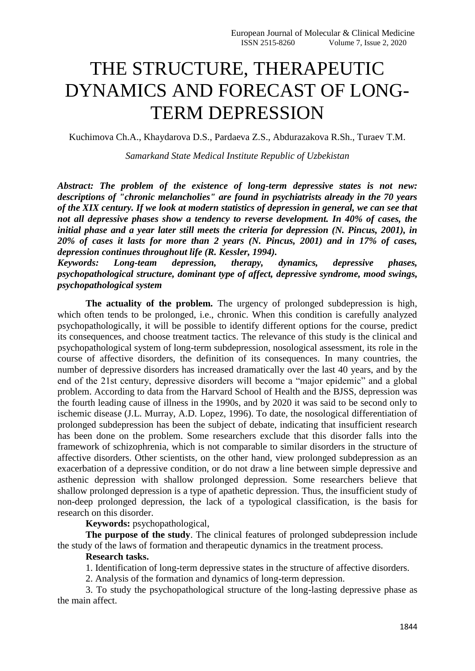## THE STRUCTURE, THERAPEUTIC DYNAMICS AND FORECAST OF LONG-TERM DEPRESSION

Kuchimova Ch.A., Khaydarova D.S., Pardaeva Z.S., Abdurazakova R.Sh., Turaev T.M.

*Samarkand State Medical Institute Republic of Uzbekistan* 

*Abstract: The problem of the existence of long-term depressive states is not new: descriptions of "chronic melancholies" are found in psychiatrists already in the 70 years of the XIX century. If we look at modern statistics of depression in general, we can see that not all depressive phases show a tendency to reverse development. In 40% of cases, the initial phase and a year later still meets the criteria for depression (N. Pincus, 2001), in 20% of cases it lasts for more than 2 years (N. Pincus, 2001) and in 17% of cases, depression continues throughout life (R. Kessler, 1994).*

*Keywords: Long-team depression, therapy, dynamics, depressive phases, psychopathological structure, dominant type of affect, depressive syndrome, mood swings, psychopathological system* 

**The actuality of the problem.** The urgency of prolonged subdepression is high, which often tends to be prolonged, i.e., chronic. When this condition is carefully analyzed psychopathologically, it will be possible to identify different options for the course, predict its consequences, and choose treatment tactics. The relevance of this study is the clinical and psychopathological system of long-term subdepression, nosological assessment, its role in the course of affective disorders, the definition of its consequences. In many countries, the number of depressive disorders has increased dramatically over the last 40 years, and by the end of the 21st century, depressive disorders will become a "major epidemic" and a global problem. According to data from the Harvard School of Health and the BJSS, depression was the fourth leading cause of illness in the 1990s, and by 2020 it was said to be second only to ischemic disease (J.L. Murray, A.D. Lopez, 1996). To date, the nosological differentiation of prolonged subdepression has been the subject of debate, indicating that insufficient research has been done on the problem. Some researchers exclude that this disorder falls into the framework of schizophrenia, which is not comparable to similar disorders in the structure of affective disorders. Other scientists, on the other hand, view prolonged subdepression as an exacerbation of a depressive condition, or do not draw a line between simple depressive and asthenic depression with shallow prolonged depression. Some researchers believe that shallow prolonged depression is a type of apathetic depression. Thus, the insufficient study of non-deep prolonged depression, the lack of a typological classification, is the basis for research on this disorder.

**Keywords:** psychopathological,

**The purpose of the study**. The clinical features of prolonged subdepression include the study of the laws of formation and therapeutic dynamics in the treatment process.

## **Research tasks.**

1. Identification of long-term depressive states in the structure of affective disorders.

2. Analysis of the formation and dynamics of long-term depression.

3. To study the psychopathological structure of the long-lasting depressive phase as the main affect.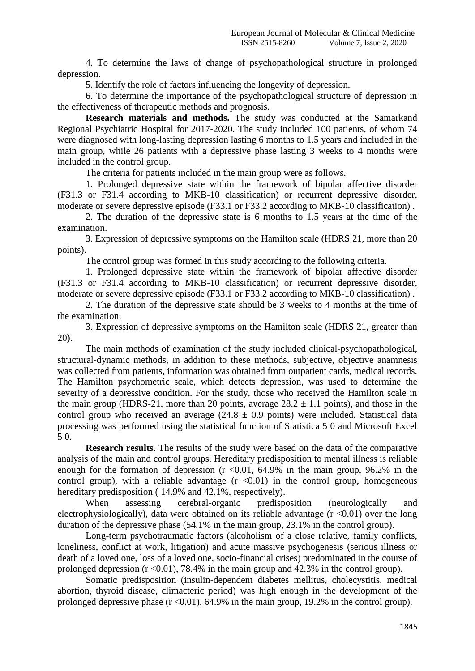4. To determine the laws of change of psychopathological structure in prolonged depression.

5. Identify the role of factors influencing the longevity of depression.

6. To determine the importance of the psychopathological structure of depression in the effectiveness of therapeutic methods and prognosis.

**Research materials and methods.** The study was conducted at the Samarkand Regional Psychiatric Hospital for 2017-2020. The study included 100 patients, of whom 74 were diagnosed with long-lasting depression lasting 6 months to 1.5 years and included in the main group, while 26 patients with a depressive phase lasting 3 weeks to 4 months were included in the control group.

The criteria for patients included in the main group were as follows.

1. Prolonged depressive state within the framework of bipolar affective disorder (F31.3 or F31.4 according to MKB-10 classification) or recurrent depressive disorder, moderate or severe depressive episode (F33.1 or F33.2 according to MKB-10 classification) .

2. The duration of the depressive state is 6 months to 1.5 years at the time of the examination.

3. Expression of depressive symptoms on the Hamilton scale (HDRS 21, more than 20 points).

The control group was formed in this study according to the following criteria.

1. Prolonged depressive state within the framework of bipolar affective disorder (F31.3 or F31.4 according to MKB-10 classification) or recurrent depressive disorder, moderate or severe depressive episode (F33.1 or F33.2 according to MKB-10 classification) .

2. The duration of the depressive state should be 3 weeks to 4 months at the time of the examination.

3. Expression of depressive symptoms on the Hamilton scale (HDRS 21, greater than 20).

The main methods of examination of the study included clinical-psychopathological, structural-dynamic methods, in addition to these methods, subjective, objective anamnesis was collected from patients, information was obtained from outpatient cards, medical records. The Hamilton psychometric scale, which detects depression, was used to determine the severity of a depressive condition. For the study, those who received the Hamilton scale in the main group (HDRS-21, more than 20 points, average  $28.2 \pm 1.1$  points), and those in the control group who received an average  $(24.8 \pm 0.9 \text{ points})$  were included. Statistical data processing was performed using the statistical function of Statistica 5 0 and Microsoft Excel 5 0.

**Research results.** The results of the study were based on the data of the comparative analysis of the main and control groups. Hereditary predisposition to mental illness is reliable enough for the formation of depression  $(r \le 0.01, 64.9\%$  in the main group, 96.2% in the control group), with a reliable advantage  $(r \le 0.01)$  in the control group, homogeneous hereditary predisposition (14.9% and 42.1%, respectively).

When assessing cerebral-organic predisposition (neurologically and electrophysiologically), data were obtained on its reliable advantage  $(r \le 0.01)$  over the long duration of the depressive phase (54.1% in the main group, 23.1% in the control group).

Long-term psychotraumatic factors (alcoholism of a close relative, family conflicts, loneliness, conflict at work, litigation) and acute massive psychogenesis (serious illness or death of a loved one, loss of a loved one, socio-financial crises) predominated in the course of prolonged depression  $(r \le 0.01)$ , 78.4% in the main group and 42.3% in the control group).

Somatic predisposition (insulin-dependent diabetes mellitus, cholecystitis, medical abortion, thyroid disease, climacteric period) was high enough in the development of the prolonged depressive phase  $(r < 0.01)$ , 64.9% in the main group, 19.2% in the control group).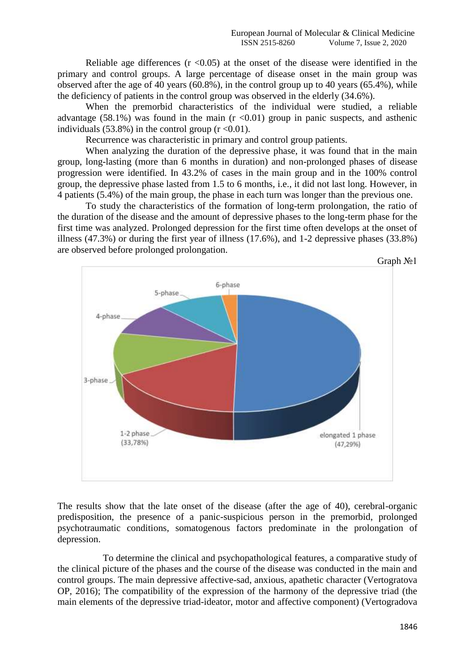Reliable age differences  $(r \le 0.05)$  at the onset of the disease were identified in the primary and control groups. A large percentage of disease onset in the main group was observed after the age of 40 years (60.8%), in the control group up to 40 years (65.4%), while the deficiency of patients in the control group was observed in the elderly (34.6%).

When the premorbid characteristics of the individual were studied, a reliable advantage (58.1%) was found in the main  $(r \le 0.01)$  group in panic suspects, and asthenic individuals (53.8%) in the control group  $(r < 0.01)$ .

Recurrence was characteristic in primary and control group patients.

When analyzing the duration of the depressive phase, it was found that in the main group, long-lasting (more than 6 months in duration) and non-prolonged phases of disease progression were identified. In 43.2% of cases in the main group and in the 100% control group, the depressive phase lasted from 1.5 to 6 months, i.e., it did not last long. However, in 4 patients (5.4%) of the main group, the phase in each turn was longer than the previous one.

To study the characteristics of the formation of long-term prolongation, the ratio of the duration of the disease and the amount of depressive phases to the long-term phase for the first time was analyzed. Prolonged depression for the first time often develops at the onset of illness (47.3%) or during the first year of illness (17.6%), and 1-2 depressive phases (33.8%) are observed before prolonged prolongation.



The results show that the late onset of the disease (after the age of 40), cerebral-organic predisposition, the presence of a panic-suspicious person in the premorbid, prolonged psychotraumatic conditions, somatogenous factors predominate in the prolongation of depression.

To determine the clinical and psychopathological features, a comparative study of the clinical picture of the phases and the course of the disease was conducted in the main and control groups. The main depressive affective-sad, anxious, apathetic character (Vertogratova OP, 2016); The compatibility of the expression of the harmony of the depressive triad (the main elements of the depressive triad-ideator, motor and affective component) (Vertogradova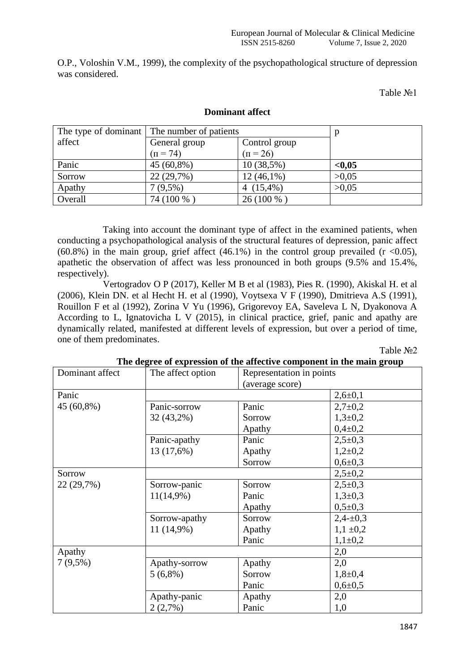O.P., Voloshin V.M., 1999), the complexity of the psychopathological structure of depression was considered.

Table No<sub>o</sub>1

|         | The type of dominant The number of patients |               |        |
|---------|---------------------------------------------|---------------|--------|
| affect  | General group                               | Control group |        |
|         | $(\Pi = 74)$                                | $(n = 26)$    |        |
| Panic   | 45 (60,8%)                                  | 10(38,5%)     | < 0.05 |
| Sorrow  | 22 (29,7%)                                  | $12(46,1\%)$  | >0.05  |
| Apathy  | $7(9,5\%)$                                  | 4 $(15,4\%)$  | >0.05  |
| Overall | 74 (100 %)                                  | 26 (100 %)    |        |

## **Dominant affect**

Taking into account the dominant type of affect in the examined patients, when conducting a psychopathological analysis of the structural features of depression, panic affect (60.8%) in the main group, grief affect (46.1%) in the control group prevailed ( $r$  <0.05), apathetic the observation of affect was less pronounced in both groups (9.5% and 15.4%, respectively).

Vertogradov O P (2017), Keller M B et al (1983), Pies R. (1990), Akiskal H. et al (2006), Klein DN. et al Hecht H. et al (1990), Voytsexa V F (1990), Dmitrieva A.S (1991), Rouillon F et al (1992), Zorina V Yu (1996), Grigorevoy EA, Saveleva L N, Dyakonova A According to L, Ignatovicha L V (2015), in clinical practice, grief, panic and apathy are dynamically related, manifested at different levels of expression, but over a period of time, one of them predominates.

Table No<sub>2</sub>

| The degree of expression of the affective component in the main group |                   |                          |               |  |  |  |
|-----------------------------------------------------------------------|-------------------|--------------------------|---------------|--|--|--|
| Dominant affect                                                       | The affect option | Representation in points |               |  |  |  |
|                                                                       |                   | (average score)          |               |  |  |  |
| Panic                                                                 |                   |                          | $2,6 \pm 0,1$ |  |  |  |
| 45 (60,8%)                                                            | Panic-sorrow      | Panic                    | $2,7+0,2$     |  |  |  |
|                                                                       | 32 (43,2%)        | Sorrow                   | $1,3+0,2$     |  |  |  |
|                                                                       |                   | Apathy                   | $0,4\pm 0,2$  |  |  |  |
|                                                                       | Panic-apathy      | Panic                    | $2,5+0,3$     |  |  |  |
|                                                                       | 13 (17,6%)        | Apathy                   | $1,2{\pm}0,2$ |  |  |  |
|                                                                       |                   | Sorrow                   | $0,6{\pm}0,3$ |  |  |  |
| Sorrow                                                                |                   |                          | $2,5+0,2$     |  |  |  |
| 22 (29,7%)                                                            | Sorrow-panic      | Sorrow                   | $2,5+0,3$     |  |  |  |
|                                                                       | $11(14,9\%)$      | Panic                    | $1,3+0,3$     |  |  |  |
|                                                                       |                   | Apathy                   | $0,5+0,3$     |  |  |  |
|                                                                       | Sorrow-apathy     | Sorrow                   | $2,4-\pm 0,3$ |  |  |  |
|                                                                       | $11(14,9\%)$      | Apathy                   | $1,1 \pm 0,2$ |  |  |  |
|                                                                       |                   | Panic                    | $1,1\pm0,2$   |  |  |  |
| Apathy                                                                |                   |                          | 2,0           |  |  |  |
| $7(9,5\%)$                                                            | Apathy-sorrow     | Apathy                   | 2,0           |  |  |  |
|                                                                       | $5(6,8\%)$        | Sorrow                   | $1,8+0,4$     |  |  |  |
|                                                                       |                   | Panic                    | $0,6{\pm}0,5$ |  |  |  |
|                                                                       | Apathy-panic      | Apathy                   | 2,0           |  |  |  |
|                                                                       | 2(2,7%)           | Panic                    | 1,0           |  |  |  |

**The degree of expression of the affective component in the main group**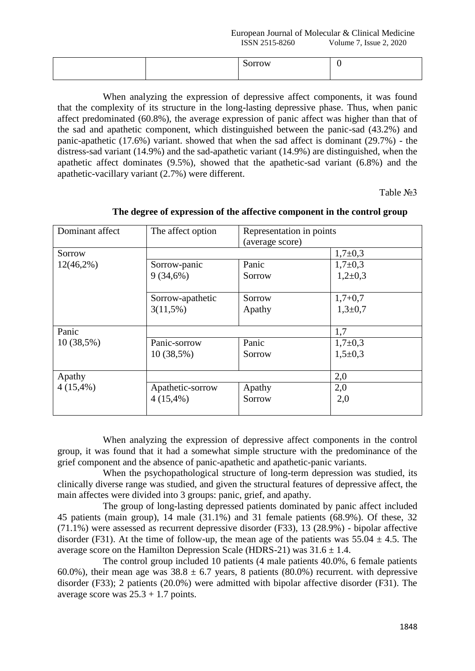European Journal of Molecular & Clinical Medicine ISSN 2515-8260 Volume 7, Issue 2, 2020

When analyzing the expression of depressive affect components, it was found that the complexity of its structure in the long-lasting depressive phase. Thus, when panic affect predominated (60.8%), the average expression of panic affect was higher than that of the sad and apathetic component, which distinguished between the panic-sad (43.2%) and panic-apathetic (17.6%) variant. showed that when the sad affect is dominant (29.7%) - the distress-sad variant (14.9%) and the sad-apathetic variant (14.9%) are distinguished, when the apathetic affect dominates (9.5%), showed that the apathetic-sad variant (6.8%) and the apathetic-vacillary variant (2.7%) were different.

Table №3

| Dominant affect | The affect option | Representation in points<br>(average score) |           |  |
|-----------------|-------------------|---------------------------------------------|-----------|--|
| Sorrow          |                   |                                             | $1,7+0,3$ |  |
| $12(46,2\%)$    | Sorrow-panic      | Panic                                       | $1,7+0,3$ |  |
|                 | 9(34,6%)          | Sorrow                                      | $1,2+0,3$ |  |
|                 | Sorrow-apathetic  | Sorrow                                      | $1,7+0,7$ |  |
|                 | $3(11,5\%)$       | Apathy                                      | $1,3+0,7$ |  |
|                 |                   |                                             |           |  |
| Panic           |                   |                                             | 1,7       |  |
| $10(38,5\%)$    | Panic-sorrow      | Panic                                       | $1,7+0,3$ |  |
|                 | $10(38,5\%)$      | Sorrow                                      | $1,5+0,3$ |  |
| Apathy          |                   |                                             | 2,0       |  |
| $4(15,4\%)$     | Apathetic-sorrow  | Apathy                                      | 2,0       |  |
|                 | $4(15,4\%)$       | Sorrow                                      | 2,0       |  |

## **The degree of expression of the affective component in the control group**

When analyzing the expression of depressive affect components in the control group, it was found that it had a somewhat simple structure with the predominance of the grief component and the absence of panic-apathetic and apathetic-panic variants.

When the psychopathological structure of long-term depression was studied, its clinically diverse range was studied, and given the structural features of depressive affect, the main affectes were divided into 3 groups: panic, grief, and apathy.

The group of long-lasting depressed patients dominated by panic affect included 45 patients (main group), 14 male (31.1%) and 31 female patients (68.9%). Of these, 32 (71.1%) were assessed as recurrent depressive disorder (F33), 13 (28.9%) - bipolar affective disorder (F31). At the time of follow-up, the mean age of the patients was  $55.04 \pm 4.5$ . The average score on the Hamilton Depression Scale (HDRS-21) was  $31.6 \pm 1.4$ .

The control group included 10 patients (4 male patients 40.0%, 6 female patients 60.0%), their mean age was  $38.8 \pm 6.7$  years, 8 patients (80.0%) recurrent. with depressive disorder (F33); 2 patients (20.0%) were admitted with bipolar affective disorder (F31). The average score was  $25.3 + 1.7$  points.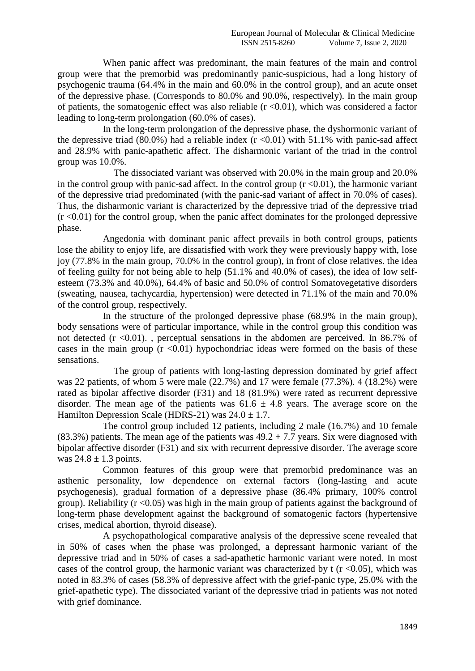When panic affect was predominant, the main features of the main and control group were that the premorbid was predominantly panic-suspicious, had a long history of psychogenic trauma (64.4% in the main and 60.0% in the control group), and an acute onset of the depressive phase. (Corresponds to 80.0% and 90.0%, respectively). In the main group of patients, the somatogenic effect was also reliable  $(r \le 0.01)$ , which was considered a factor leading to long-term prolongation (60.0% of cases).

In the long-term prolongation of the depressive phase, the dyshormonic variant of the depressive triad (80.0%) had a reliable index  $(r \le 0.01)$  with 51.1% with panic-sad affect and 28.9% with panic-apathetic affect. The disharmonic variant of the triad in the control group was 10.0%.

The dissociated variant was observed with 20.0% in the main group and 20.0% in the control group with panic-sad affect. In the control group  $(r \le 0.01)$ , the harmonic variant of the depressive triad predominated (with the panic-sad variant of affect in 70.0% of cases). Thus, the disharmonic variant is characterized by the depressive triad of the depressive triad  $(r \le 0.01)$  for the control group, when the panic affect dominates for the prolonged depressive phase.

Angedonia with dominant panic affect prevails in both control groups, patients lose the ability to enjoy life, are dissatisfied with work they were previously happy with, lose joy (77.8% in the main group, 70.0% in the control group), in front of close relatives. the idea of feeling guilty for not being able to help (51.1% and 40.0% of cases), the idea of low selfesteem (73.3% and 40.0%), 64.4% of basic and 50.0% of control Somatovegetative disorders (sweating, nausea, tachycardia, hypertension) were detected in 71.1% of the main and 70.0% of the control group, respectively.

In the structure of the prolonged depressive phase (68.9% in the main group), body sensations were of particular importance, while in the control group this condition was not detected  $(r \le 0.01)$ ., perceptual sensations in the abdomen are perceived. In 86.7% of cases in the main group  $(r \le 0.01)$  hypochondriac ideas were formed on the basis of these sensations.

The group of patients with long-lasting depression dominated by grief affect was 22 patients, of whom 5 were male (22.7%) and 17 were female (77.3%). 4 (18.2%) were rated as bipolar affective disorder (F31) and 18 (81.9%) were rated as recurrent depressive disorder. The mean age of the patients was  $61.6 \pm 4.8$  years. The average score on the Hamilton Depression Scale (HDRS-21) was  $24.0 \pm 1.7$ .

The control group included 12 patients, including 2 male (16.7%) and 10 female (83.3%) patients. The mean age of the patients was  $49.2 + 7.7$  years. Six were diagnosed with bipolar affective disorder (F31) and six with recurrent depressive disorder. The average score was  $24.8 \pm 1.3$  points.

Common features of this group were that premorbid predominance was an asthenic personality, low dependence on external factors (long-lasting and acute psychogenesis), gradual formation of a depressive phase (86.4% primary, 100% control group). Reliability ( $r \le 0.05$ ) was high in the main group of patients against the background of long-term phase development against the background of somatogenic factors (hypertensive crises, medical abortion, thyroid disease).

A psychopathological comparative analysis of the depressive scene revealed that in 50% of cases when the phase was prolonged, a depressant harmonic variant of the depressive triad and in 50% of cases a sad-apathetic harmonic variant were noted. In most cases of the control group, the harmonic variant was characterized by t  $(r \le 0.05)$ , which was noted in 83.3% of cases (58.3% of depressive affect with the grief-panic type, 25.0% with the grief-apathetic type). The dissociated variant of the depressive triad in patients was not noted with grief dominance.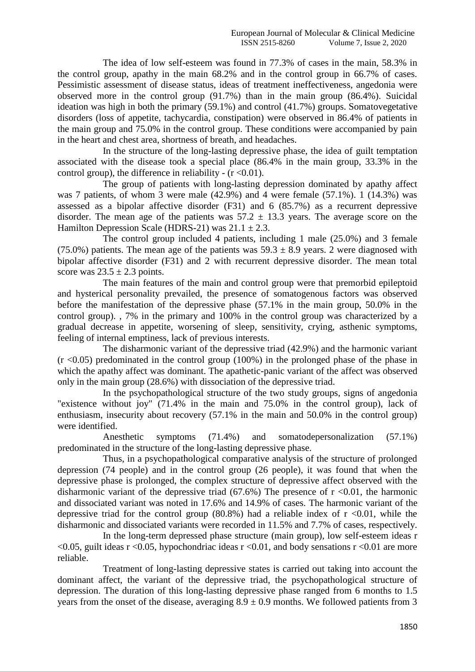The idea of low self-esteem was found in 77.3% of cases in the main, 58.3% in the control group, apathy in the main 68.2% and in the control group in 66.7% of cases. Pessimistic assessment of disease status, ideas of treatment ineffectiveness, angedonia were observed more in the control group (91.7%) than in the main group (86.4%). Suicidal ideation was high in both the primary (59.1%) and control (41.7%) groups. Somatovegetative disorders (loss of appetite, tachycardia, constipation) were observed in 86.4% of patients in the main group and 75.0% in the control group. These conditions were accompanied by pain in the heart and chest area, shortness of breath, and headaches.

In the structure of the long-lasting depressive phase, the idea of guilt temptation associated with the disease took a special place (86.4% in the main group, 33.3% in the control group), the difference in reliability -  $(r \le 0.01)$ .

The group of patients with long-lasting depression dominated by apathy affect was 7 patients, of whom 3 were male (42.9%) and 4 were female (57.1%). 1 (14.3%) was assessed as a bipolar affective disorder (F31) and 6 (85.7%) as a recurrent depressive disorder. The mean age of the patients was  $57.2 \pm 13.3$  years. The average score on the Hamilton Depression Scale (HDRS-21) was  $21.1 \pm 2.3$ .

The control group included 4 patients, including 1 male (25.0%) and 3 female (75.0%) patients. The mean age of the patients was  $59.3 \pm 8.9$  years. 2 were diagnosed with bipolar affective disorder (F31) and 2 with recurrent depressive disorder. The mean total score was  $23.5 \pm 2.3$  points.

The main features of the main and control group were that premorbid epileptoid and hysterical personality prevailed, the presence of somatogenous factors was observed before the manifestation of the depressive phase (57.1% in the main group, 50.0% in the control group). , 7% in the primary and 100% in the control group was characterized by a gradual decrease in appetite, worsening of sleep, sensitivity, crying, asthenic symptoms, feeling of internal emptiness, lack of previous interests.

The disharmonic variant of the depressive triad (42.9%) and the harmonic variant  $(r < 0.05)$  predominated in the control group (100%) in the prolonged phase of the phase in which the apathy affect was dominant. The apathetic-panic variant of the affect was observed only in the main group (28.6%) with dissociation of the depressive triad.

In the psychopathological structure of the two study groups, signs of angedonia "existence without joy" (71.4% in the main and 75.0% in the control group), lack of enthusiasm, insecurity about recovery (57.1% in the main and 50.0% in the control group) were identified.

Anesthetic symptoms (71.4%) and somatodepersonalization (57.1%) predominated in the structure of the long-lasting depressive phase.

Thus, in a psychopathological comparative analysis of the structure of prolonged depression (74 people) and in the control group (26 people), it was found that when the depressive phase is prolonged, the complex structure of depressive affect observed with the disharmonic variant of the depressive triad  $(67.6%)$  The presence of  $r \le 0.01$ , the harmonic and dissociated variant was noted in 17.6% and 14.9% of cases. The harmonic variant of the depressive triad for the control group (80.8%) had a reliable index of  $r \le 0.01$ , while the disharmonic and dissociated variants were recorded in 11.5% and 7.7% of cases, respectively.

In the long-term depressed phase structure (main group), low self-esteem ideas r  $\leq 0.05$ , guilt ideas r  $\leq 0.05$ , hypochondriac ideas r  $\leq 0.01$ , and body sensations r  $\leq 0.01$  are more reliable.

Treatment of long-lasting depressive states is carried out taking into account the dominant affect, the variant of the depressive triad, the psychopathological structure of depression. The duration of this long-lasting depressive phase ranged from 6 months to 1.5 years from the onset of the disease, averaging  $8.9 \pm 0.9$  months. We followed patients from 3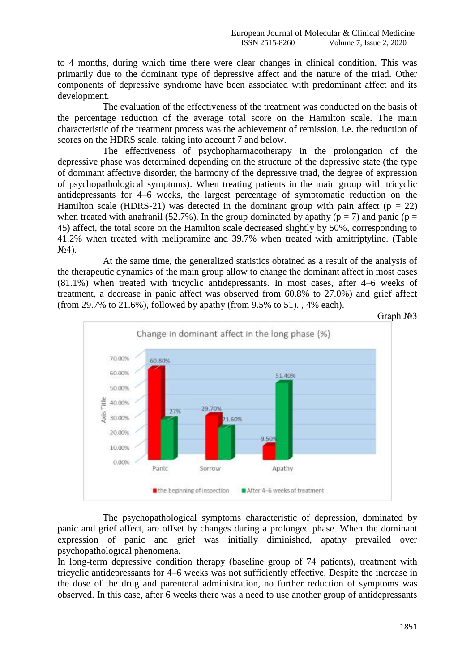to 4 months, during which time there were clear changes in clinical condition. This was primarily due to the dominant type of depressive affect and the nature of the triad. Other components of depressive syndrome have been associated with predominant affect and its development.

The evaluation of the effectiveness of the treatment was conducted on the basis of the percentage reduction of the average total score on the Hamilton scale. The main characteristic of the treatment process was the achievement of remission, i.e. the reduction of scores on the HDRS scale, taking into account 7 and below.

The effectiveness of psychopharmacotherapy in the prolongation of the depressive phase was determined depending on the structure of the depressive state (the type of dominant affective disorder, the harmony of the depressive triad, the degree of expression of psychopathological symptoms). When treating patients in the main group with tricyclic antidepressants for 4–6 weeks, the largest percentage of symptomatic reduction on the Hamilton scale (HDRS-21) was detected in the dominant group with pain affect ( $p = 22$ ) when treated with anafranil (52.7%). In the group dominated by apathy ( $p = 7$ ) and panic ( $p =$ 45) affect, the total score on the Hamilton scale decreased slightly by 50%, corresponding to 41.2% when treated with melipramine and 39.7% when treated with amitriptyline. (Table  $N<sub>2</sub>4$ ).

At the same time, the generalized statistics obtained as a result of the analysis of the therapeutic dynamics of the main group allow to change the dominant affect in most cases (81.1%) when treated with tricyclic antidepressants. In most cases, after 4–6 weeks of treatment, a decrease in panic affect was observed from 60.8% to 27.0%) and grief affect (from 29.7% to 21.6%), followed by apathy (from 9.5% to 51). , 4% each).



The psychopathological symptoms characteristic of depression, dominated by panic and grief affect, are offset by changes during a prolonged phase. When the dominant expression of panic and grief was initially diminished, apathy prevailed over psychopathological phenomena.

In long-term depressive condition therapy (baseline group of 74 patients), treatment with tricyclic antidepressants for 4–6 weeks was not sufficiently effective. Despite the increase in the dose of the drug and parenteral administration, no further reduction of symptoms was observed. In this case, after 6 weeks there was a need to use another group of antidepressants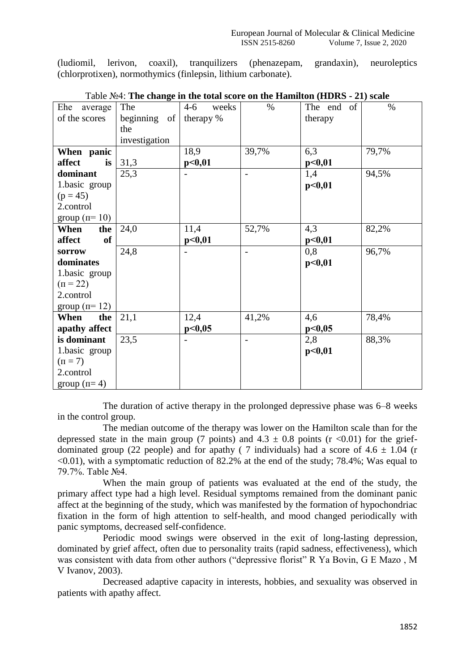(ludiomil, lerivon, coaxil), tranquilizers (phenazepam, grandaxin), neuroleptics (chlorprotixen), normothymics (finlepsin, lithium carbonate).

| Ehe<br>average      | The           | $4 - 6$<br>weeks | $\%$  | The end of | $\%$  |
|---------------------|---------------|------------------|-------|------------|-------|
| of the scores       | beginning of  | therapy %        |       | therapy    |       |
|                     | the           |                  |       |            |       |
|                     | investigation |                  |       |            |       |
| When panic          |               | 18,9             | 39,7% | 6,3        | 79,7% |
| affect<br>is        | 31,3          | p<0,01           |       | p<0,01     |       |
| dominant            | 25,3          |                  |       | 1,4        | 94,5% |
| 1.basic group       |               |                  |       | p<0,01     |       |
| $(p = 45)$          |               |                  |       |            |       |
| 2.control           |               |                  |       |            |       |
| group $(n=10)$      |               |                  |       |            |       |
| When<br>the         | 24,0          | 11,4             | 52,7% | 4,3        | 82,2% |
| affect<br><b>of</b> |               | p<0,01           |       | p<0,01     |       |
| sorrow              | 24,8          |                  |       | 0,8        | 96,7% |
| dominates           |               |                  |       | p<0,01     |       |
| 1.basic group       |               |                  |       |            |       |
| $(\pi = 22)$        |               |                  |       |            |       |
| 2.control           |               |                  |       |            |       |
| group $(n=12)$      |               |                  |       |            |       |
| When<br>the         | 21,1          | 12,4             | 41,2% | 4,6        | 78,4% |
| apathy affect       |               | p<0,05           |       | p<0,05     |       |
| is dominant         | 23,5          |                  |       | 2,8        | 88,3% |
| 1.basic group       |               |                  |       | p<0,01     |       |
| $(\pi = 7)$         |               |                  |       |            |       |
| 2.control           |               |                  |       |            |       |
| group $(n=4)$       |               |                  |       |            |       |

|  |  |  | Table Nº4: The change in the total score on the Hamilton (HDRS - 21) scale |  |  |  |  |  |
|--|--|--|----------------------------------------------------------------------------|--|--|--|--|--|
|--|--|--|----------------------------------------------------------------------------|--|--|--|--|--|

The duration of active therapy in the prolonged depressive phase was 6–8 weeks in the control group.

The median outcome of the therapy was lower on the Hamilton scale than for the depressed state in the main group (7 points) and  $4.3 \pm 0.8$  points (r <0.01) for the griefdominated group (22 people) and for apathy (7 individuals) had a score of  $4.6 \pm 1.04$  (r  $\leq 0.01$ ), with a symptomatic reduction of 82.2% at the end of the study; 78.4%; Was equal to 79.7%. Table №4.

When the main group of patients was evaluated at the end of the study, the primary affect type had a high level. Residual symptoms remained from the dominant panic affect at the beginning of the study, which was manifested by the formation of hypochondriac fixation in the form of high attention to self-health, and mood changed periodically with panic symptoms, decreased self-confidence.

Periodic mood swings were observed in the exit of long-lasting depression, dominated by grief affect, often due to personality traits (rapid sadness, effectiveness), which was consistent with data from other authors ("depressive florist" R Ya Bovin, G E Mazo , M V Ivanov, 2003).

Decreased adaptive capacity in interests, hobbies, and sexuality was observed in patients with apathy affect.